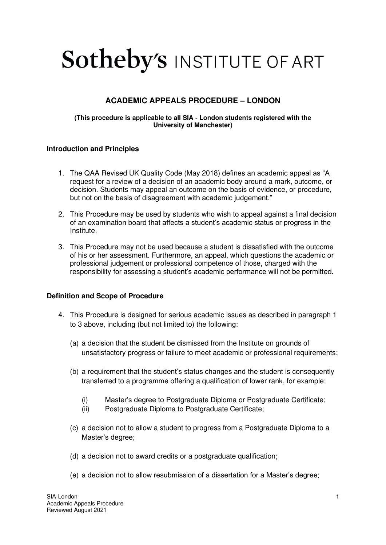# **Sotheby's INSTITUTE OF ART**

# **ACADEMIC APPEALS PROCEDURE – LONDON**

#### **(This procedure is applicable to all SIA - London students registered with the University of Manchester)**

#### **Introduction and Principles**

- 1. The QAA Revised UK Quality Code (May 2018) defines an academic appeal as "A request for a review of a decision of an academic body around a mark, outcome, or decision. Students may appeal an outcome on the basis of evidence, or procedure, but not on the basis of disagreement with academic judgement."
- 2. This Procedure may be used by students who wish to appeal against a final decision of an examination board that affects a student's academic status or progress in the Institute.
- 3. This Procedure may not be used because a student is dissatisfied with the outcome of his or her assessment. Furthermore, an appeal, which questions the academic or professional judgement or professional competence of those, charged with the responsibility for assessing a student's academic performance will not be permitted.

# **Definition and Scope of Procedure**

- 4. This Procedure is designed for serious academic issues as described in paragraph 1 to 3 above, including (but not limited to) the following:
	- (a) a decision that the student be dismissed from the Institute on grounds of unsatisfactory progress or failure to meet academic or professional requirements;
	- (b) a requirement that the student's status changes and the student is consequently transferred to a programme offering a qualification of lower rank, for example:
		- (i) Master's degree to Postgraduate Diploma or Postgraduate Certificate;
		- (ii) Postgraduate Diploma to Postgraduate Certificate;
	- (c) a decision not to allow a student to progress from a Postgraduate Diploma to a Master's degree;
	- (d) a decision not to award credits or a postgraduate qualification;
	- (e) a decision not to allow resubmission of a dissertation for a Master's degree;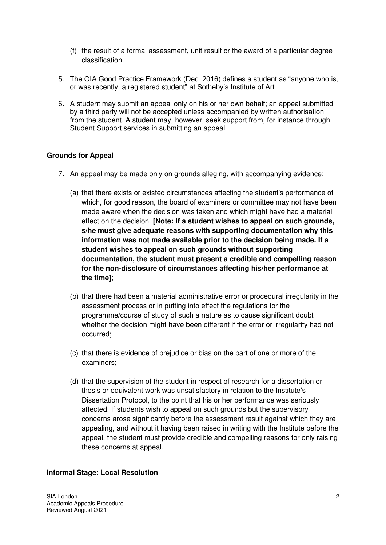- (f) the result of a formal assessment, unit result or the award of a particular degree classification.
- 5. The OIA Good Practice Framework (Dec. 2016) defines a student as "anyone who is, or was recently, a registered student" at Sotheby's Institute of Art
- 6. A student may submit an appeal only on his or her own behalf; an appeal submitted by a third party will not be accepted unless accompanied by written authorisation from the student. A student may, however, seek support from, for instance through Student Support services in submitting an appeal.

#### **Grounds for Appeal**

- 7. An appeal may be made only on grounds alleging, with accompanying evidence:
	- (a) that there exists or existed circumstances affecting the student's performance of which, for good reason, the board of examiners or committee may not have been made aware when the decision was taken and which might have had a material effect on the decision. **[Note: If a student wishes to appeal on such grounds, s/he must give adequate reasons with supporting documentation why this information was not made available prior to the decision being made. If a student wishes to appeal on such grounds without supporting documentation, the student must present a credible and compelling reason for the non-disclosure of circumstances affecting his/her performance at the time]**;
	- (b) that there had been a material administrative error or procedural irregularity in the assessment process or in putting into effect the regulations for the programme/course of study of such a nature as to cause significant doubt whether the decision might have been different if the error or irregularity had not occurred;
	- (c) that there is evidence of prejudice or bias on the part of one or more of the examiners;
	- (d) that the supervision of the student in respect of research for a dissertation or thesis or equivalent work was unsatisfactory in relation to the Institute's Dissertation Protocol, to the point that his or her performance was seriously affected. If students wish to appeal on such grounds but the supervisory concerns arose significantly before the assessment result against which they are appealing, and without it having been raised in writing with the Institute before the appeal, the student must provide credible and compelling reasons for only raising these concerns at appeal.

# **Informal Stage: Local Resolution**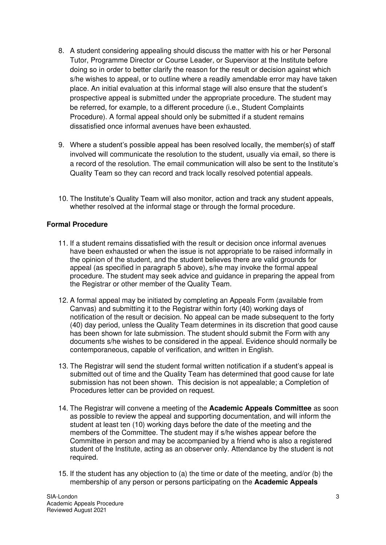- 8. A student considering appealing should discuss the matter with his or her Personal Tutor, Programme Director or Course Leader, or Supervisor at the Institute before doing so in order to better clarify the reason for the result or decision against which s/he wishes to appeal, or to outline where a readily amendable error may have taken place. An initial evaluation at this informal stage will also ensure that the student's prospective appeal is submitted under the appropriate procedure. The student may be referred, for example, to a different procedure (i.e., Student Complaints Procedure). A formal appeal should only be submitted if a student remains dissatisfied once informal avenues have been exhausted.
- 9. Where a student's possible appeal has been resolved locally, the member(s) of staff involved will communicate the resolution to the student, usually via email, so there is a record of the resolution. The email communication will also be sent to the Institute's Quality Team so they can record and track locally resolved potential appeals.
- 10. The Institute's Quality Team will also monitor, action and track any student appeals, whether resolved at the informal stage or through the formal procedure.

# **Formal Procedure**

- 11. If a student remains dissatisfied with the result or decision once informal avenues have been exhausted or when the issue is not appropriate to be raised informally in the opinion of the student, and the student believes there are valid grounds for appeal (as specified in paragraph 5 above), s/he may invoke the formal appeal procedure. The student may seek advice and guidance in preparing the appeal from the Registrar or other member of the Quality Team.
- 12. A formal appeal may be initiated by completing an Appeals Form (available from Canvas) and submitting it to the Registrar within forty (40) working days of notification of the result or decision. No appeal can be made subsequent to the forty (40) day period, unless the Quality Team determines in its discretion that good cause has been shown for late submission. The student should submit the Form with any documents s/he wishes to be considered in the appeal. Evidence should normally be contemporaneous, capable of verification, and written in English.
- 13. The Registrar will send the student formal written notification if a student's appeal is submitted out of time and the Quality Team has determined that good cause for late submission has not been shown. This decision is not appealable; a Completion of Procedures letter can be provided on request.
- 14. The Registrar will convene a meeting of the **Academic Appeals Committee** as soon as possible to review the appeal and supporting documentation, and will inform the student at least ten (10) working days before the date of the meeting and the members of the Committee. The student may if s/he wishes appear before the Committee in person and may be accompanied by a friend who is also a registered student of the Institute, acting as an observer only. Attendance by the student is not required.
- 15. If the student has any objection to (a) the time or date of the meeting, and/or (b) the membership of any person or persons participating on the **Academic Appeals**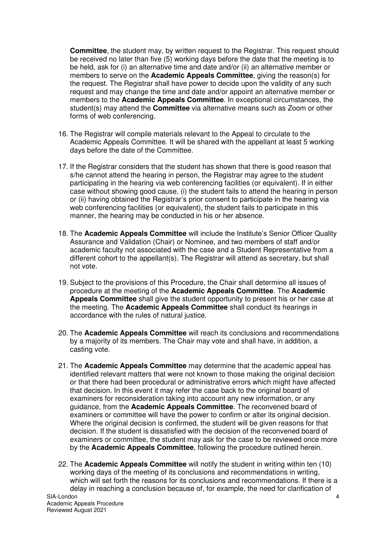**Committee**, the student may, by written request to the Registrar. This request should be received no later than five (5) working days before the date that the meeting is to be held, ask for (i) an alternative time and date and/or (ii) an alternative member or members to serve on the **Academic Appeals Committee**, giving the reason(s) for the request. The Registrar shall have power to decide upon the validity of any such request and may change the time and date and/or appoint an alternative member or members to the **Academic Appeals Committee**. In exceptional circumstances, the student(s) may attend the **Committee** via alternative means such as Zoom or other forms of web conferencing.

- 16. The Registrar will compile materials relevant to the Appeal to circulate to the Academic Appeals Committee. It will be shared with the appellant at least 5 working days before the date of the Committee.
- 17. If the Registrar considers that the student has shown that there is good reason that s/he cannot attend the hearing in person, the Registrar may agree to the student participating in the hearing via web conferencing facilities (or equivalent). If in either case without showing good cause, (i) the student fails to attend the hearing in person or (ii) having obtained the Registrar's prior consent to participate in the hearing via web conferencing facilities (or equivalent), the student fails to participate in this manner, the hearing may be conducted in his or her absence.
- 18. The **Academic Appeals Committee** will include the Institute's Senior Officer Quality Assurance and Validation (Chair) or Nominee, and two members of staff and/or academic faculty not associated with the case and a Student Representative from a different cohort to the appellant(s). The Registrar will attend as secretary, but shall not vote.
- 19. Subject to the provisions of this Procedure, the Chair shall determine all issues of procedure at the meeting of the **Academic Appeals Committee**. The **Academic Appeals Committee** shall give the student opportunity to present his or her case at the meeting. The **Academic Appeals Committee** shall conduct its hearings in accordance with the rules of natural justice.
- 20. The **Academic Appeals Committee** will reach its conclusions and recommendations by a majority of its members. The Chair may vote and shall have, in addition, a casting vote.
- 21. The **Academic Appeals Committee** may determine that the academic appeal has identified relevant matters that were not known to those making the original decision or that there had been procedural or administrative errors which might have affected that decision. In this event it may refer the case back to the original board of examiners for reconsideration taking into account any new information, or any guidance, from the **Academic Appeals Committee**. The reconvened board of examiners or committee will have the power to confirm or alter its original decision. Where the original decision is confirmed, the student will be given reasons for that decision. If the student is dissatisfied with the decision of the reconvened board of examiners or committee, the student may ask for the case to be reviewed once more by the **Academic Appeals Committee**, following the procedure outlined herein.
- 22. The **Academic Appeals Committee** will notify the student in writing within ten (10) working days of the meeting of its conclusions and recommendations in writing, which will set forth the reasons for its conclusions and recommendations. If there is a delay in reaching a conclusion because of, for example, the need for clarification of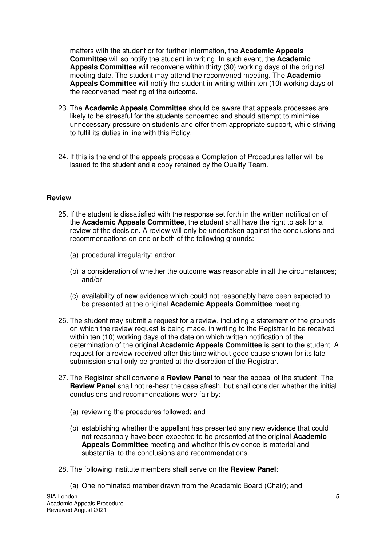matters with the student or for further information, the **Academic Appeals Committee** will so notify the student in writing. In such event, the **Academic Appeals Committee** will reconvene within thirty (30) working days of the original meeting date. The student may attend the reconvened meeting. The **Academic Appeals Committee** will notify the student in writing within ten (10) working days of the reconvened meeting of the outcome.

- 23. The **Academic Appeals Committee** should be aware that appeals processes are likely to be stressful for the students concerned and should attempt to minimise unnecessary pressure on students and offer them appropriate support, while striving to fulfil its duties in line with this Policy.
- 24. If this is the end of the appeals process a Completion of Procedures letter will be issued to the student and a copy retained by the Quality Team.

#### **Review**

- 25. If the student is dissatisfied with the response set forth in the written notification of the **Academic Appeals Committee**, the student shall have the right to ask for a review of the decision. A review will only be undertaken against the conclusions and recommendations on one or both of the following grounds:
	- (a) procedural irregularity; and/or.
	- (b) a consideration of whether the outcome was reasonable in all the circumstances; and/or
	- (c) availability of new evidence which could not reasonably have been expected to be presented at the original **Academic Appeals Committee** meeting.
- 26. The student may submit a request for a review, including a statement of the grounds on which the review request is being made, in writing to the Registrar to be received within ten (10) working days of the date on which written notification of the determination of the original **Academic Appeals Committee** is sent to the student. A request for a review received after this time without good cause shown for its late submission shall only be granted at the discretion of the Registrar.
- 27. The Registrar shall convene a **Review Panel** to hear the appeal of the student. The **Review Panel** shall not re-hear the case afresh, but shall consider whether the initial conclusions and recommendations were fair by:
	- (a) reviewing the procedures followed; and
	- (b) establishing whether the appellant has presented any new evidence that could not reasonably have been expected to be presented at the original **Academic Appeals Committee** meeting and whether this evidence is material and substantial to the conclusions and recommendations.
- 28. The following Institute members shall serve on the **Review Panel**:
	- (a) One nominated member drawn from the Academic Board (Chair); and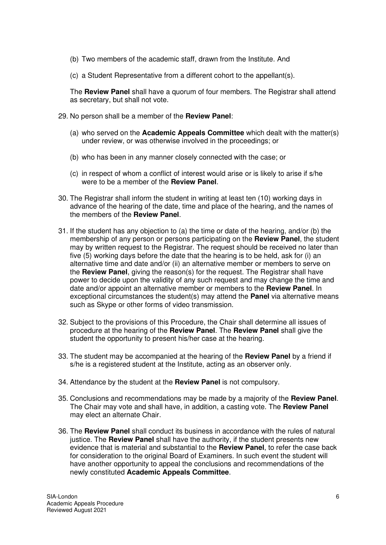- (b) Two members of the academic staff, drawn from the Institute. And
- (c) a Student Representative from a different cohort to the appellant(s).

The **Review Panel** shall have a quorum of four members. The Registrar shall attend as secretary, but shall not vote.

- 29. No person shall be a member of the **Review Panel**:
	- (a) who served on the **Academic Appeals Committee** which dealt with the matter(s) under review, or was otherwise involved in the proceedings; or
	- (b) who has been in any manner closely connected with the case; or
	- (c) in respect of whom a conflict of interest would arise or is likely to arise if s/he were to be a member of the **Review Panel**.
- 30. The Registrar shall inform the student in writing at least ten (10) working days in advance of the hearing of the date, time and place of the hearing, and the names of the members of the **Review Panel**.
- 31. If the student has any objection to (a) the time or date of the hearing, and/or (b) the membership of any person or persons participating on the **Review Panel**, the student may by written request to the Registrar. The request should be received no later than five (5) working days before the date that the hearing is to be held, ask for (i) an alternative time and date and/or (ii) an alternative member or members to serve on the **Review Panel**, giving the reason(s) for the request. The Registrar shall have power to decide upon the validity of any such request and may change the time and date and/or appoint an alternative member or members to the **Review Panel**. In exceptional circumstances the student(s) may attend the **Panel** via alternative means such as Skype or other forms of video transmission.
- 32. Subject to the provisions of this Procedure, the Chair shall determine all issues of procedure at the hearing of the **Review Panel**. The **Review Panel** shall give the student the opportunity to present his/her case at the hearing.
- 33. The student may be accompanied at the hearing of the **Review Panel** by a friend if s/he is a registered student at the Institute, acting as an observer only.
- 34. Attendance by the student at the **Review Panel** is not compulsory.
- 35. Conclusions and recommendations may be made by a majority of the **Review Panel**. The Chair may vote and shall have, in addition, a casting vote. The **Review Panel** may elect an alternate Chair.
- 36. The **Review Panel** shall conduct its business in accordance with the rules of natural justice. The **Review Panel** shall have the authority, if the student presents new evidence that is material and substantial to the **Review Panel**, to refer the case back for consideration to the original Board of Examiners. In such event the student will have another opportunity to appeal the conclusions and recommendations of the newly constituted **Academic Appeals Committee**.